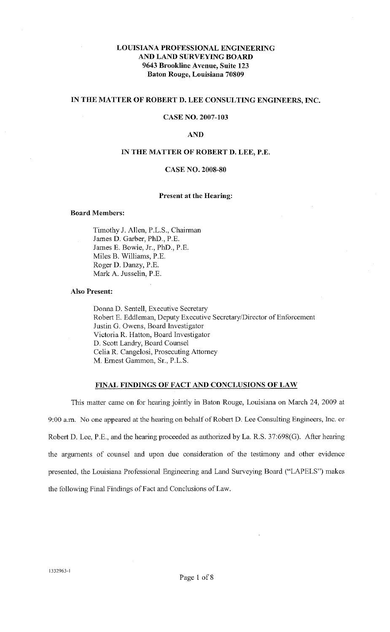# **LOUISIANA PROFESSIONAL ENGINEERING AND LAND SURVEYING BOARD 9643 Brookline Avenue, Suite 123 Baton Rouge, Louisiana 70809**

# **IN THE MATTER OF ROBERT D. LEE CONSULTING ENGINEERS, INC.**

# **CASE NO. 2007-103**

## **AND**

## **IN THE MATTER OF ROBERT D. LEE, P.E.**

# **CASE NO. 2008-80**

## **Present at the Hearing:**

### **Board Members:**

Timothy J. Allen, P.L.S., Chairman James D. Garber, PhD., P.E. James E. Bowie, Jr., PhD., P.E. Miles B. Williams, P.E. Roger D. Danzy, P.E. Mark A. Jusselin, P.E.

# **Also Present:**

Donna D. Sentell, Executive Secretary Robert E. Eddleman, Deputy Executive Secretary/Director of Enforcement Justin G. Owens, Board Investigator Victoria R. Hatton, Board Investigator D. Scott Landry, Board Counsel Celia R. Cangelosi, Prosecuting Attorney M. Emest Gammon, Sr., P.L.S.

# **FINAL FINDINGS OF FACT AND CONCLUSIONS OF LAW**

This matter came on for hearing jointly in Baton Rouge, Louisiana on March 24, 2009 at 9:00a.m. No one appeared at the hearing on behalf of Robert D. Lee Consulting Engineers, Inc. or Robert D. Lee, P.E., and the hearing proceeded as authorized by La. R.S. 37:698(G). After hearing the arguments of counsel and upon due consideration of the testimony and other evidence presented, the Louisiana Professional Engineering and Land Surveying Board ("LAPELS") makes the following Final Findings of Fact md Conclusions of Law.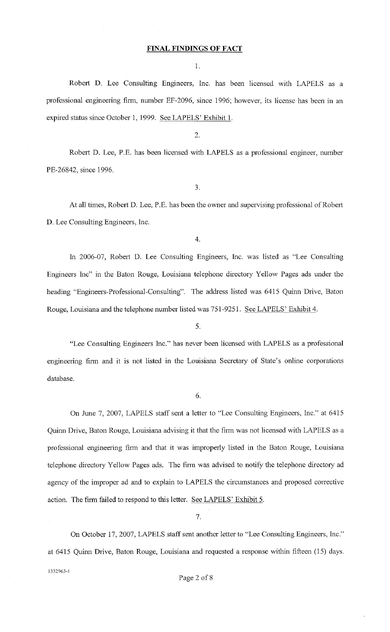#### **FINAL FINDINGS OF FACT**

1.

Robert D. Lee Consulting Engineers, Inc. has been licensed with LAPELS as a professional engineering firm, number EF-2096, since 1996; however, its license has been in an expired status since October 1, 1999. See LAPELS' Exhibit 1.

2.

Robert D. Lee, P.E. has been licensed with LAPELS as a professional engineer, number PE-26842, since 1996.

3.

At all times, Robert D. Lee, P.E. has been the owner and supervising professional of Robert D. Lee Consulting Engineers, Inc.

4.

In 2006-07, Robert D. Lee Consulting Engineers, Inc. was listed as "Lee Consulting Engineers Inc" in the Baton Rouge, Louisiana telephone directory Yellow Pages ads under the heading "Engineers-Professional-Consulting". The address listed was 6415 Quinn Drive, Baton Rouge, Louisiana and the telephone number listed was 751-9251. See LAPELS' Exhibit 4.

5.

"Lee Consulting Engineers Inc." has never been licensed with LAPELS as a professional engmeenng firm and it is not listed in the Louisiana Secretary of State's online corporations database.

6.

On June 7, 2007, LAPELS staff sent a letter to "Lee Consulting Engineers, Inc." at 6415 Quinn Drive, Baton Rouge, Louisiana advising it that the firm was not licensed with LAPELS as a professional engineering firm and that it was improperly listed in the Baton Rouge, Louisiana telephone directory Yellow Pages ads. The firm was advised to notify the telephone directory ad agency of the improper ad and to explain to LAPELS the circumstances and proposed corrective action. The firm failed to respond to this letter. See LAPELS' Exhibit 5.

7.

On October 17, 2007, LAPELS staff sent another letter to "Lee Consulting Engineers, Inc." at 6415 Quinn Drive, Baton Rouge, Louisiana and requested a response within fifteen (15) days. 1332963- [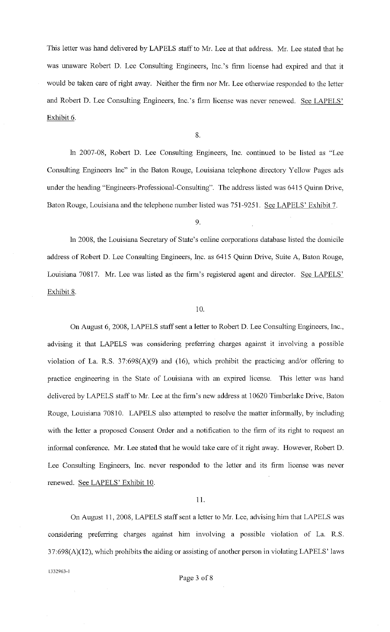This letter was hand delivered by LAPELS staff to Mr. Lee at that address. Mr. Lee stated that he was unaware Robert D. Lee Consulting Engineers, Inc.'s firm license had expired and that it would be taken care of right away. Neither the firm nor Mr. Lee otherwise responded to the letter and Robert D. Lee Consulting Engineers, Inc.'s finn license was never renewed. See LAPELS' Exhibit 6.

8.

In 2007-08, Robert D. Lee Consulting Engineers, Inc. continued to be listed as "Lee Consulting Engineers Inc" in the Baton Rouge, Louisiana telephone directory Yellow Pages ads under the heading "Engineers-Professional-Consulting". The address listed was 6415 Quinn Drive, Baton Rouge, Louisiana and the telephone number listed was 751-9251. See LAPELS' Exhibit 7.

9.

In 2008, the Louisiana Secretary of State's online corporations database listed the domicile address of Robert D. Lee Consulting Engineers, Inc. as 6415 Quinn Drive, Suite A, Baton Rouge, Louisiana 70817. Mr. Lee was listed as the firm's registered agent and director. See LAPELS' Exhibit 8.

# 10.

On August 6, 2008, LAPELS staff sent a letter to Robert D. Lee Consulting Engineers, Inc., advising it that LAPELS was considering preferring charges against it involving a possible violation of La. R.S. 37:698(A)(9) and (16), which prohibit the practicing and/or offering to practice engineering in the State of Louisiana with an expired license. This letter was hand delivered by LAPELS staff to Mr. Lee at the finn's new address at 10620 Timberlake Drive, Baton Rouge, Louisiana 70810. LAPELS also attempted to resolve the matter informally, by including with the letter a proposed Consent Order and a notification to the firm of its right to request an informal conference. Mr. Lee stated that he would take care of it right away. However, Robert D. Lee Consulting Engineers, Inc. never responded to the letter and its firm license was never renewed. See LAPELS' Exhibit 10.

## 11.

On August II, 2008, LAPELS staff sent a letter to Mr. Lee, advising him that LAPELS was considering preferring charges against him involving a possible violation of La. R.S. 37:698(A)(12), which prohibits the aiding or assisting of another person in violating LAPELS' laws

[332963-l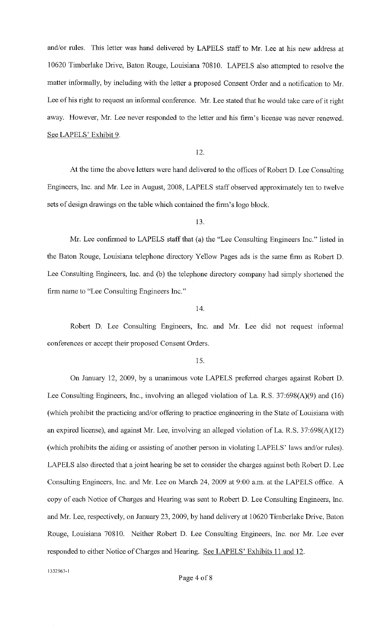and/or rules. This letter was hand delivered by LAPELS staff to Mr. Lee at his new address at I 0620 Timberlake Drive, Baton Rouge, Louisiana 70810. LAPELS also attempted to resolve the matter informally, by including with the letter a proposed Consent Order and a notification to Mr. Lee of his right to request an informal conference. Mr. Lee stated that he would take care of it right away. However, Mr. Lee never responded to the letter and his firm's license was never renewed. See LAPELS' Exhibit 9.

12.

At the time the above letters were hand delivered to the offices of Robert D. Lee Consulting Engineers, Inc. and Mr. Lee in August, 2008, LAPELS staff observed approximately ten to twelve sets of design drawings on the table which contained the firm's logo block.

13.

Mr. Lee confinned to LAPELS staff that (a) the "Lee Consulting Engineers Inc." listed in the Baton Rouge, Louisiana telephone directory Yellow Pages ads is the same finn as Robert D. Lee Consulting Engineers, Inc. and (b) the telephone directory company had simply shortened the firm name to "Lee Consulting Engineers Inc."

# 14.

Robert D. Lee Consulting Engineers, Inc. and Mr. Lee did not request informal conferences or accept their proposed Consent Orders.

15.

On January 12, 2009, by a unanimous vote LAPELS preferred charges against Robert D. Lee Consulting Engineers, Inc., involving an alleged violation of La. R.S. 37:698(A)(9) and (16) (which prohibit the practicing and/or offering to practice engineering in the State of Louisiana with an expired license), and against Mr. Lee, involving an alleged violation of La. R.S. 37:698(A)(l2) (which prohibits the aiding or assisting of another person in violating LAPELS' laws and/or rules). LAPELS also directed that a joint hearing be set to consider the charges against both Robert D. Lee Consulting Engineers, Inc. and Mr. Lee on March 24, 2009 at 9:00 a.m. at the LAPELS office. A copy of each Notice of Charges and Hearing was sent to Robert D. Lee Consulting Engineers, Inc. and Mr. Lee, respectively, on January 23,2009, by hand delivery at 10620 Timberlake Drive, Baton Rouge, Louisiana 70810. Neither Robert D. Lee Consulting Engineers, Inc. nor Mr. Lee ever responded to either Notice of Charges and Hearing. See LAPELS' Exhibits 11 and 12.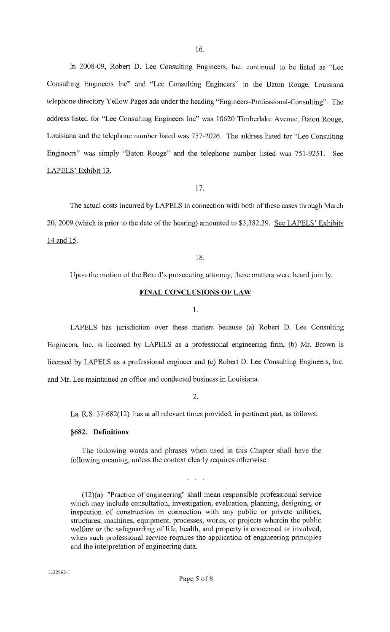In 2008-09, Robert D. Lee Consulting Engineers, Inc. continued to be listed as "Lee Consulting Engineers Inc" and "Lee Consulting Engineers" in the Baton Rouge, Louisiana telephone directory Yellow Pages ads under the heading "Engineers-Professional-Consulting". The address listed for "Lee Consulting Engineers Inc" was 10620 Timberlake Avenue, Baton Rouge, Louisiana and the telephone number listed was 757-2026. The address listed for "Lee Consulting Engineers" was simply "Baton Rouge" and the telephone number listed was 751-9251. See LAPELS' Exhibit 13.

17.

The actual costs incurred by LAPELS in connection with both of these cases through March 20, 2009 (which is prior to the date of the hearing) amounted to \$3,382.39. See LAPELS' Exhibits 14 and 15.

18.

Upon the motion of the Board's prosecuting attomey, these matters were heard jointly.

## **FINAL CONCLUSIONS OF LAW**

#### 1.

LAPELS has jurisdiction over these matters because (a) Robert D. Lee Consulting Engineers, Inc. is licensed by LAPELS as a professional engineering firm, (b) Mr. Brown is licensed by LAPELS as a professional engineer and (c) Robert D. Lee Consulting Engineers, Inc. and Mr. Lee maintained an office and conducted business in Louisiana.

2.

La. R.S. 37:682(12) has at all relevant times provided, in pertinent part, as follows:

#### **§682. Definitions**

The following words and phrases when used in this Chapter shall have the following meaning, unless the context clearly requires otherwise:

(12)(a) "Practice of engineering" shall mean responsible professional service which may include consultation, investigation, evaluation, planning, designing, or inspection of construction in connection with any public or private utilities, structures, machines, equipment, processes, works, or projects wherein the public welfare or the safeguarding of life, health, and property is concemed or involved, when such professional service requires the application of engineering principles and the interpretation of engineering data.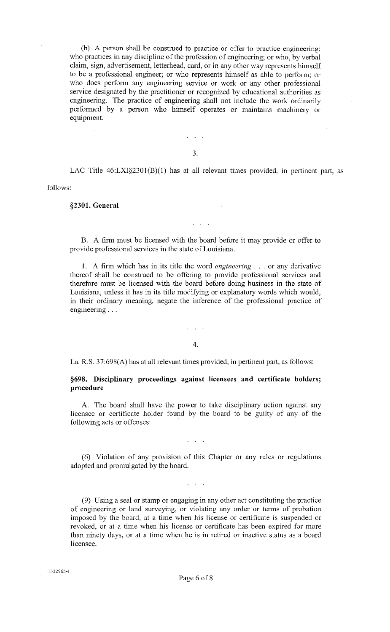(b) A person shall be construed to practice or offer to practice engineering: who practices in any discipline of the profession of engineering; or who, by verbal claim, sign, advertisement, letterhead, card, or in any other way represents himself to be a professional engineer; or who represents himself as able to perfonn; or who does perfonn any engineering service or work or any other professional service designated by the practitioner or recognized by educational authorities as engineering. The practice of engineering shall not include the work ordinarily performed by a person who himself operates or maintains machinery or equipment.

3.

 $\mathcal{L}^{\text{max}}$ 

LAC Title  $46: LXI\$ <sup>2301</sup>(B)(1) has at all relevant times provided, in pertinent part, as

follows:

**§2301. General** 

B. A finn must be licensed with the board before it may provide or offer to provide professional services in the state of Louisiana.

I. A finn which has in its title the word *engineering* ... or any derivative thereof shall be construed to be offering to provide professional services and therefore must be licensed with the board before doing business in the state of Louisiana, unless it has in its title modifying or explanatory words which would, in their ordinary meaning, negate the inference of the professional practice of engmeenng ...

4.

La. R.S. 37:698(A) has at all relevant times provided, in pertinent part, as follows:

**§698. Disciplinary proceedings against licensees and certificate holders; procedure** 

A. The board shall have the power to take disciplinary action against any licensee or certificate holder found by the board to be guilty of any of the following acts or offenses:

(6) Violation of any provision of this Chapter or any rules or regulations adopted and promulgated by the board.

 $\mathbf{L} = \mathbf{L} \times \mathbf{L}$ 

(9) Using a seal or stamp or engaging in any other act constituting the practice of engineering or land surveying, or violating any order or terms of probation imposed by the board, at a time when his license or certificate is suspended or revoked, or at a time when his license or certificate has been expired for more than ninety days, or at a time when he is in retired or inactive status as a board licensee.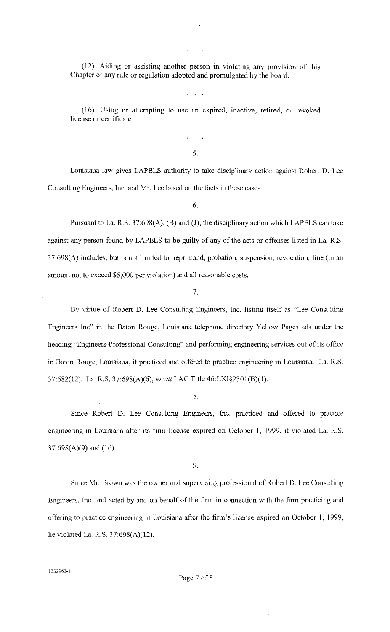(12) Aiding or assisting another person in violating any provision of this Chapter or any rule or regulation adopted and promulgated by the board.

(16) Using or attempting to use an expired, inactive, retired, or revoked license or certificate.

5.

Louisiana law gives LAPELS authority to take disciplinary action against Robert D. Lee Consulting Engineers, Inc. and Mr. Lee based on the facts in these cases.

6.

Pursuant to La. R.S. 37:698(A), (B) and (J), the disciplinary action which LAPELS can take against any person found by LAPELS to be guilty of any of the acts or offenses listed in La. R.S. 37:698(A) includes, but is not limited to, reprimand, probation, suspension, revocation, fine (in an amount not to exceed \$5,000 per violation) and all reasonable costs.

7.

By virtue of Robert D. Lee Consulting Engineers, Inc. listing itself as "Lee Consulting Engineers Inc" in the Baton Rouge, Louisiana telephone directory Yellow Pages ads under the heading "Engineers-Professional-Consulting" and perfonning engineering services out of its office in Baton Rouge, Louisiana, it practiced and offered to practice engineering in Louisiana. La. R.S. 37:682(12). La. R.S. 37:698(A)(6), *to wit* LAC Title 46:LXI§2301(B)(l).

8.

Since Robert D. Lee Consulting Engineers, Inc. practiced and offered to practice engineering in Louisiana after its finn license expired on October 1, 1999, it violated La. R.S. 37:698(A)(9) and (16).

9.

Since Mr. Brown was the owner and supervising professional of Robert D. Lee Consulting Engineers, Inc. and acted by and on behalf of the finn in connection with the finn practicing and offering to practice engineering in Louisiana after the finn's license expired on October 1, 1999, he violated La. R.S. 37:698(A)(12).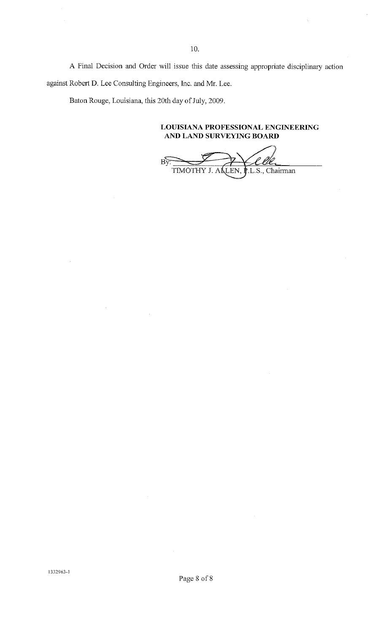A Final Decision and Order will issue this date assessing appropriate disciplinary action against Robert *D.* Lee Consulting Engineers, Inc. and Mr. Lee.

Baton Rouge, Louisiana, this 20th day of July, 2009.

**LOUISIANA PROFESSIONAL ENGINEERING AND LAND SURVEYING BOARD** 

 $B\overline{v}$ TIMOTHY J. ALLEN,  $\mathbf{\hat{F}}$ .L.S., Chairman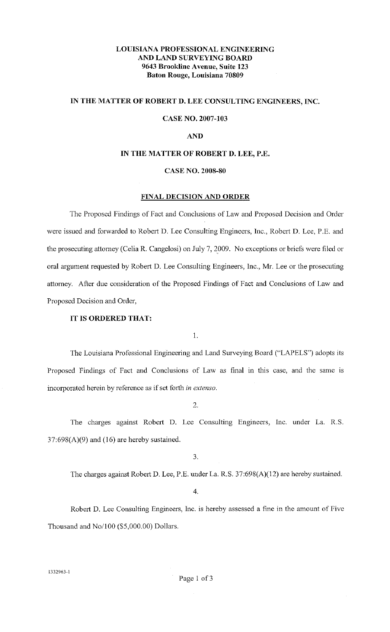# **LOUISIANA PROFESSIONAL ENGINEERING AND LAND SURVEYING BOARD 9643 Brookline Avenue, Suite 123 Baton Rouge, Louisiana 70809**

# **IN THE MATTER OF ROBERT D. LEE CONSULTING ENGINEERS, INC.**

# **CASE NO. 2007-103**

# **AND**

## **IN THE MATTER OF ROBERT D. LEE, P.E.**

# **CASE NO. 2008-80**

# **FINAL DECISION AND ORDER**

The Proposed Findings of Fact and Conclusions of Law and Proposed Decision and Order were issued and forwarded to Robert D. Lee Consulting Engineers, Inc., Robert D. Lee, P.E. and the prosecuting attomey (Celia R. Cangelosi) on July 7, 2009. No exceptions or briefs were filed or oral argument requested by Robert D. Lee Consulting Engineers, Inc., Mr. Lee or the prosecuting attorney. After due consideration of the Proposed Findings of Fact and Conclusions of Law and Proposed Decision and Order,

# **IT IS ORDERED THAT:**

I.

The Louisiana Professional Engineering and Land Surveying Board ("LAPELS") adopts its Proposed Findings of Fact and Conclusions of Law as final in this case, and the same is incorporated herein by reference as if set forth *in extenso.* 

2.

The charges against Robert D. Lee Consulting Engineers, Inc. under La. R.S.  $37:698(A)(9)$  and  $(16)$  are hereby sustained.

3.

The charges against Robert D. Lee, P.E. under La. R.S. 37:698(A)(12) are hereby sustained.

# 4.

Robert D. Lee Consulting Engineers, Inc. is hereby assessed a fine in the amount of Five Thousand and No/100 (\$5,000.00) Dollars.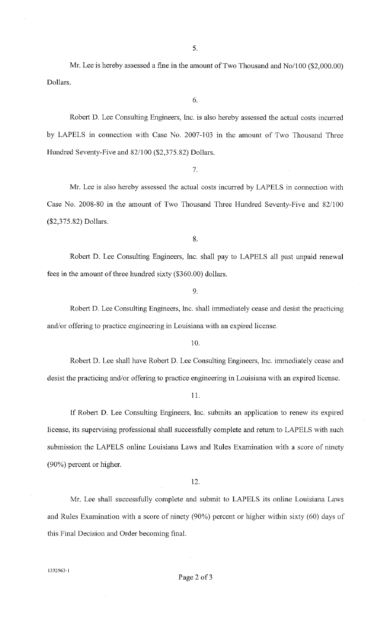Mr. Lee is hereby assessed a fine in the amount of Two Thousand and No/100 (\$2,000.00) Dollars.

6.

Robert D. Lee Consulting Engineers, Inc. is also hereby assessed the actual costs incurred by LAPELS in connection with Case No. 2007-103 in the amount of Two Thousand Three Hundred Seventy-Five and 82/100 (\$2,375.82) Dollars.

7.

Mr. Lee is also hereby assessed the actual costs incurred by LAPELS in connection with Case No. 2008-80 in the amount of Two Thousand Three Hundred Seventy-Five and 82/100 (\$2,375.82) Dollars.

8.

Robert D. Lee Consulting Engineers, Inc. shall pay to LAPELS all past unpaid renewal fees in the amount of three hundred sixty (\$360.00) dollars.

9.

Robert D. Lee Consulting Engineers, Inc. shall immediately cease and desist the practicing and/or offering to practice engineering in Louisiana with an expired license.

10.

Robert D. Lee shall have Robert D. Lee Consulting Engineers, Inc. immediately cease and desist the practicing and/or offering to practice engineering in Louisiana with an expired license.

11.

If Robert D. Lee Consulting Engineers, Inc. submits an application to renew its expired license, its supervising professional shall successfully complete and return to LAPELS with such submission the LAPELS online Louisiana Laws and Rules Examination with a score of ninety (90%) percent or higher.

12.

Mr. Lee shall successfully complete and submit to LAPELS its online Louisiana Laws and Rules Examination with a score of ninety (90%) percent or higher within sixty (60) days of this Final Decision and Order becoming final.